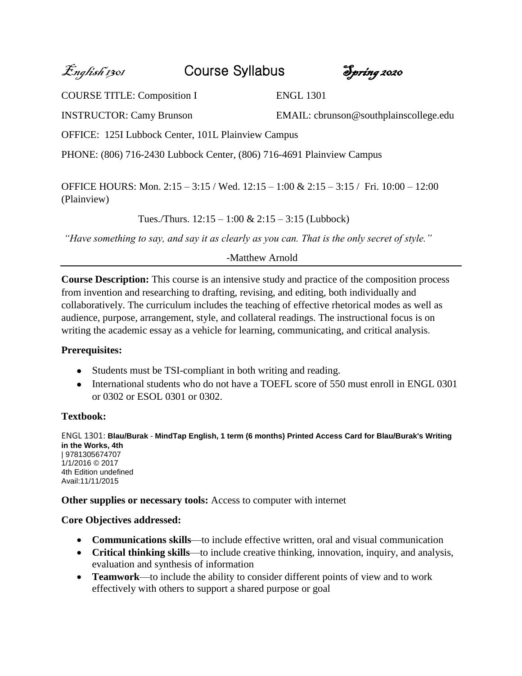English 1301 Course Syllabus Spring 2020

COURSE TITLE: Composition I ENGL 1301

INSTRUCTOR: Camy Brunson EMAIL: cbrunson@southplainscollege.edu

OFFICE: 125I Lubbock Center, 101L Plainview Campus

PHONE: (806) 716-2430 Lubbock Center, (806) 716-4691 Plainview Campus

OFFICE HOURS: Mon. 2:15 – 3:15 / Wed. 12:15 – 1:00 & 2:15 – 3:15 / Fri. 10:00 – 12:00 (Plainview)

Tues./Thurs.  $12:15 - 1:00 \& 2:15 - 3:15$  (Lubbock)

*"Have something to say, and say it as clearly as you can. That is the only secret of style."*

*-*Matthew Arnold

**Course Description:** This course is an intensive study and practice of the composition process from invention and researching to drafting, revising, and editing, both individually and collaboratively. The curriculum includes the teaching of effective rhetorical modes as well as audience, purpose, arrangement, style, and collateral readings. The instructional focus is on writing the academic essay as a vehicle for learning, communicating, and critical analysis.

# **Prerequisites:**

- Students must be TSI-compliant in both writing and reading.
- International students who do not have a TOEFL score of 550 must enroll in ENGL 0301 or 0302 or ESOL 0301 or 0302.

# **Textbook:**

ENGL 1301: **Blau/Burak** - **MindTap English, 1 term (6 months) Printed Access Card for Blau/Burak's Writing in the Works, 4th** | 9781305674707 1/1/2016 © 2017 4th Edition undefined Avail:11/11/2015

**Other supplies or necessary tools:** Access to computer with internet

# **Core Objectives addressed:**

- **Communications skills**—to include effective written, oral and visual communication
- **Critical thinking skills**—to include creative thinking, innovation, inquiry, and analysis, evaluation and synthesis of information
- **Teamwork**—to include the ability to consider different points of view and to work effectively with others to support a shared purpose or goal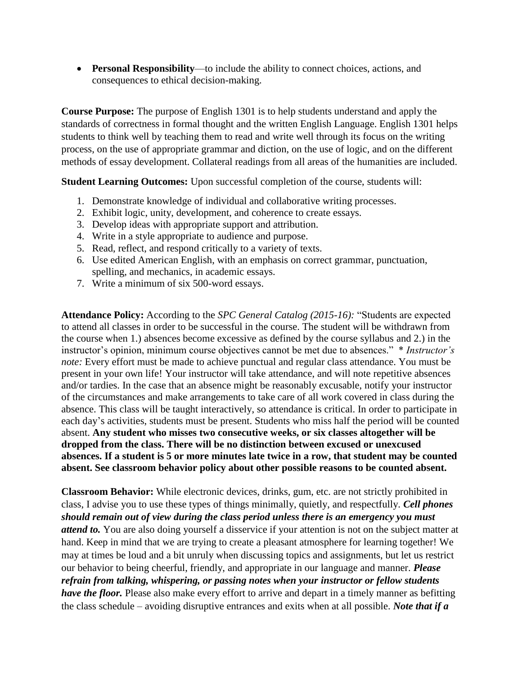• **Personal Responsibility**—to include the ability to connect choices, actions, and consequences to ethical decision-making.

**Course Purpose:** The purpose of English 1301 is to help students understand and apply the standards of correctness in formal thought and the written English Language. English 1301 helps students to think well by teaching them to read and write well through its focus on the writing process, on the use of appropriate grammar and diction, on the use of logic, and on the different methods of essay development. Collateral readings from all areas of the humanities are included.

**Student Learning Outcomes:** Upon successful completion of the course, students will:

- 1. Demonstrate knowledge of individual and collaborative writing processes.
- 2. Exhibit logic, unity, development, and coherence to create essays.
- 3. Develop ideas with appropriate support and attribution.
- 4. Write in a style appropriate to audience and purpose.
- 5. Read, reflect, and respond critically to a variety of texts.
- 6. Use edited American English, with an emphasis on correct grammar, punctuation, spelling, and mechanics, in academic essays.
- 7. Write a minimum of six 500-word essays.

**Attendance Policy:** According to the *SPC General Catalog (2015-16):* "Students are expected to attend all classes in order to be successful in the course. The student will be withdrawn from the course when 1.) absences become excessive as defined by the course syllabus and 2.) in the instructor's opinion, minimum course objectives cannot be met due to absences." \* *Instructor's note:* Every effort must be made to achieve punctual and regular class attendance. You must be present in your own life! Your instructor will take attendance, and will note repetitive absences and/or tardies. In the case that an absence might be reasonably excusable, notify your instructor of the circumstances and make arrangements to take care of all work covered in class during the absence. This class will be taught interactively, so attendance is critical. In order to participate in each day's activities, students must be present. Students who miss half the period will be counted absent. **Any student who misses two consecutive weeks, or six classes altogether will be dropped from the class. There will be no distinction between excused or unexcused absences. If a student is 5 or more minutes late twice in a row, that student may be counted absent. See classroom behavior policy about other possible reasons to be counted absent.** 

**Classroom Behavior:** While electronic devices, drinks, gum, etc. are not strictly prohibited in class, I advise you to use these types of things minimally, quietly, and respectfully. *Cell phones should remain out of view during the class period unless there is an emergency you must attend to.* You are also doing yourself a disservice if your attention is not on the subject matter at hand. Keep in mind that we are trying to create a pleasant atmosphere for learning together! We may at times be loud and a bit unruly when discussing topics and assignments, but let us restrict our behavior to being cheerful, friendly, and appropriate in our language and manner. *Please refrain from talking, whispering, or passing notes when your instructor or fellow students have the floor.* Please also make every effort to arrive and depart in a timely manner as befitting the class schedule – avoiding disruptive entrances and exits when at all possible. *Note that if a*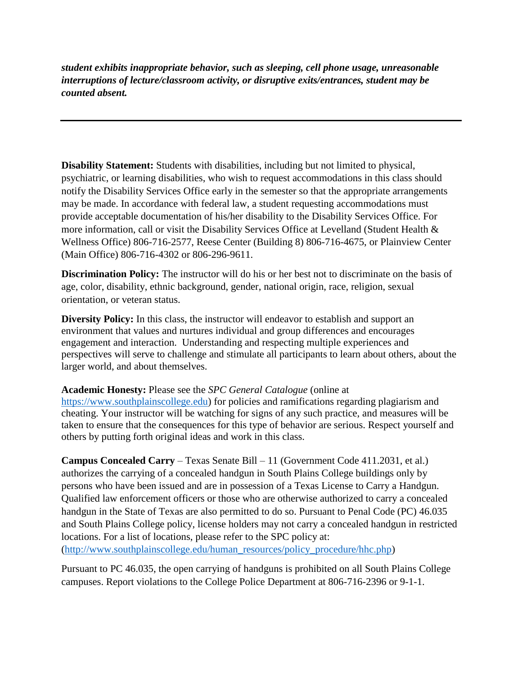*student exhibits inappropriate behavior, such as sleeping, cell phone usage, unreasonable interruptions of lecture/classroom activity, or disruptive exits/entrances, student may be counted absent.*

**Disability Statement:** Students with disabilities, including but not limited to physical, psychiatric, or learning disabilities, who wish to request accommodations in this class should notify the Disability Services Office early in the semester so that the appropriate arrangements may be made. In accordance with federal law, a student requesting accommodations must provide acceptable documentation of his/her disability to the Disability Services Office. For more information, call or visit the Disability Services Office at Levelland (Student Health & Wellness Office) 806-716-2577, Reese Center (Building 8) 806-716-4675, or Plainview Center (Main Office) 806-716-4302 or 806-296-9611.

**Discrimination Policy:** The instructor will do his or her best not to discriminate on the basis of age, color, disability, ethnic background, gender, national origin, race, religion, sexual orientation, or veteran status.

**Diversity Policy:** In this class, the instructor will endeavor to establish and support an environment that values and nurtures individual and group differences and encourages engagement and interaction. Understanding and respecting multiple experiences and perspectives will serve to challenge and stimulate all participants to learn about others, about the larger world, and about themselves.

### **Academic Honesty:** Please see the *SPC General Catalogue* (online at

[https://www.southplainscollege.edu\)](https://www.southplainscollege.edu/) for policies and ramifications regarding plagiarism and cheating. Your instructor will be watching for signs of any such practice, and measures will be taken to ensure that the consequences for this type of behavior are serious. Respect yourself and others by putting forth original ideas and work in this class.

**Campus Concealed Carry** – Texas Senate Bill – 11 (Government Code 411.2031, et al.) authorizes the carrying of a concealed handgun in South Plains College buildings only by persons who have been issued and are in possession of a Texas License to Carry a Handgun. Qualified law enforcement officers or those who are otherwise authorized to carry a concealed handgun in the State of Texas are also permitted to do so. Pursuant to Penal Code (PC) 46.035 and South Plains College policy, license holders may not carry a concealed handgun in restricted locations. For a list of locations, please refer to the SPC policy at: [\(http://www.southplainscollege.edu/human\\_resources/policy\\_procedure/hhc.php\)](http://www.southplainscollege.edu/human_resources/policy_procedure/hhc.php)

Pursuant to PC 46.035, the open carrying of handguns is prohibited on all South Plains College campuses. Report violations to the College Police Department at 806-716-2396 or 9-1-1.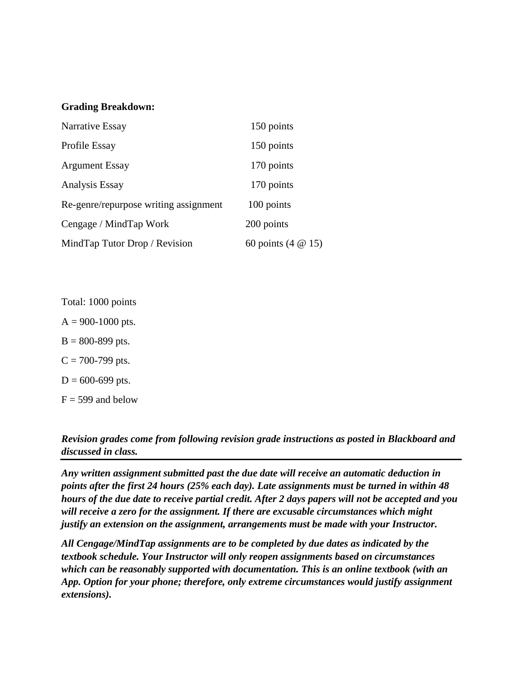#### **Grading Breakdown:**

| Narrative Essay                       | 150 points         |
|---------------------------------------|--------------------|
| Profile Essay                         | 150 points         |
| <b>Argument Essay</b>                 | 170 points         |
| Analysis Essay                        | 170 points         |
| Re-genre/repurpose writing assignment | 100 points         |
| Cengage / MindTap Work                | 200 points         |
| MindTap Tutor Drop / Revision         | 60 points (4 @ 15) |

Total: 1000 points

 $A = 900 - 1000$  pts.

 $B = 800 - 899$  pts.

 $C = 700 - 799$  pts.

 $D = 600 - 699$  pts.

 $F = 599$  and below

# *Revision grades come from following revision grade instructions as posted in Blackboard and discussed in class.*

*Any written assignment submitted past the due date will receive an automatic deduction in points after the first 24 hours (25% each day). Late assignments must be turned in within 48 hours of the due date to receive partial credit. After 2 days papers will not be accepted and you will receive a zero for the assignment. If there are excusable circumstances which might justify an extension on the assignment, arrangements must be made with your Instructor.* 

*All Cengage/MindTap assignments are to be completed by due dates as indicated by the textbook schedule. Your Instructor will only reopen assignments based on circumstances which can be reasonably supported with documentation. This is an online textbook (with an App. Option for your phone; therefore, only extreme circumstances would justify assignment extensions).*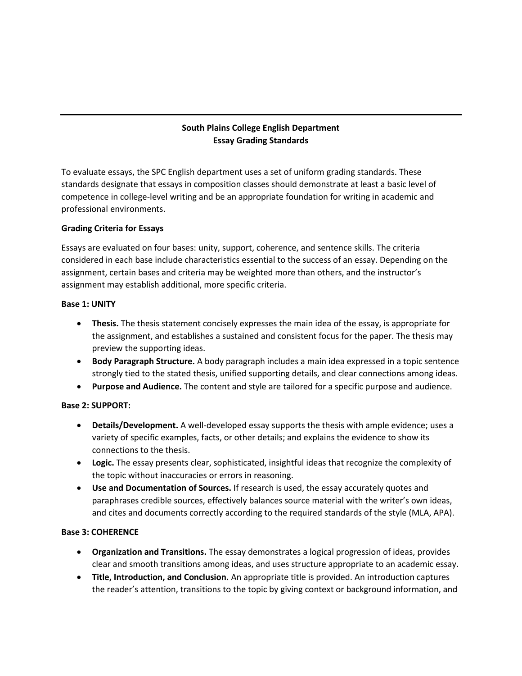## **South Plains College English Department Essay Grading Standards**

To evaluate essays, the SPC English department uses a set of uniform grading standards. These standards designate that essays in composition classes should demonstrate at least a basic level of competence in college-level writing and be an appropriate foundation for writing in academic and professional environments.

#### **Grading Criteria for Essays**

Essays are evaluated on four bases: unity, support, coherence, and sentence skills. The criteria considered in each base include characteristics essential to the success of an essay. Depending on the assignment, certain bases and criteria may be weighted more than others, and the instructor's assignment may establish additional, more specific criteria.

#### **Base 1: UNITY**

- **Thesis.** The thesis statement concisely expresses the main idea of the essay, is appropriate for the assignment, and establishes a sustained and consistent focus for the paper. The thesis may preview the supporting ideas.
- **Body Paragraph Structure.** A body paragraph includes a main idea expressed in a topic sentence strongly tied to the stated thesis, unified supporting details, and clear connections among ideas.
- **Purpose and Audience.** The content and style are tailored for a specific purpose and audience.

#### **Base 2: SUPPORT:**

- **Details/Development.** A well-developed essay supports the thesis with ample evidence; uses a variety of specific examples, facts, or other details; and explains the evidence to show its connections to the thesis.
- **Logic.** The essay presents clear, sophisticated, insightful ideas that recognize the complexity of the topic without inaccuracies or errors in reasoning.
- **Use and Documentation of Sources.** If research is used, the essay accurately quotes and paraphrases credible sources, effectively balances source material with the writer's own ideas, and cites and documents correctly according to the required standards of the style (MLA, APA).

#### **Base 3: COHERENCE**

- **Organization and Transitions.** The essay demonstrates a logical progression of ideas, provides clear and smooth transitions among ideas, and uses structure appropriate to an academic essay.
- **Title, Introduction, and Conclusion.** An appropriate title is provided. An introduction captures the reader's attention, transitions to the topic by giving context or background information, and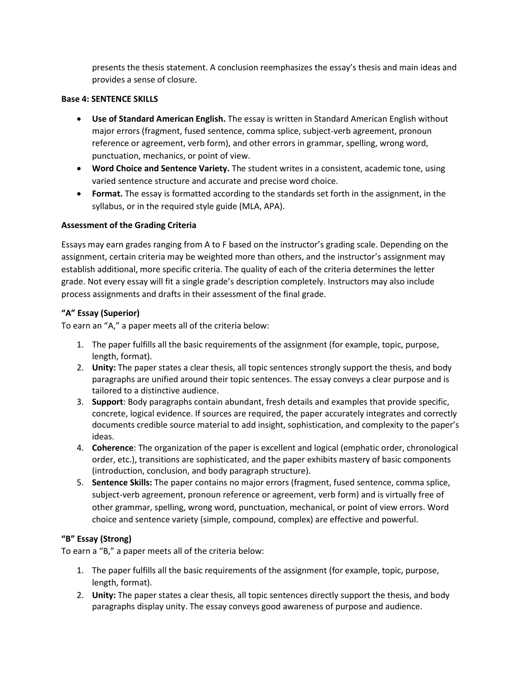presents the thesis statement. A conclusion reemphasizes the essay's thesis and main ideas and provides a sense of closure.

#### **Base 4: SENTENCE SKILLS**

- **Use of Standard American English.** The essay is written in Standard American English without major errors (fragment, fused sentence, comma splice, subject-verb agreement, pronoun reference or agreement, verb form), and other errors in grammar, spelling, wrong word, punctuation, mechanics, or point of view.
- **Word Choice and Sentence Variety.** The student writes in a consistent, academic tone, using varied sentence structure and accurate and precise word choice.
- **Format.** The essay is formatted according to the standards set forth in the assignment, in the syllabus, or in the required style guide (MLA, APA).

#### **Assessment of the Grading Criteria**

Essays may earn grades ranging from A to F based on the instructor's grading scale. Depending on the assignment, certain criteria may be weighted more than others, and the instructor's assignment may establish additional, more specific criteria. The quality of each of the criteria determines the letter grade. Not every essay will fit a single grade's description completely. Instructors may also include process assignments and drafts in their assessment of the final grade.

#### **"A" Essay (Superior)**

To earn an "A," a paper meets all of the criteria below:

- 1. The paper fulfills all the basic requirements of the assignment (for example, topic, purpose, length, format).
- 2. **Unity:** The paper states a clear thesis, all topic sentences strongly support the thesis, and body paragraphs are unified around their topic sentences. The essay conveys a clear purpose and is tailored to a distinctive audience.
- 3. **Support**: Body paragraphs contain abundant, fresh details and examples that provide specific, concrete, logical evidence. If sources are required, the paper accurately integrates and correctly documents credible source material to add insight, sophistication, and complexity to the paper's ideas.
- 4. **Coherence**: The organization of the paper is excellent and logical (emphatic order, chronological order, etc.), transitions are sophisticated, and the paper exhibits mastery of basic components (introduction, conclusion, and body paragraph structure).
- 5. **Sentence Skills:** The paper contains no major errors (fragment, fused sentence, comma splice, subject-verb agreement, pronoun reference or agreement, verb form) and is virtually free of other grammar, spelling, wrong word, punctuation, mechanical, or point of view errors. Word choice and sentence variety (simple, compound, complex) are effective and powerful.

### **"B" Essay (Strong)**

To earn a "B," a paper meets all of the criteria below:

- 1. The paper fulfills all the basic requirements of the assignment (for example, topic, purpose, length, format).
- 2. **Unity:** The paper states a clear thesis, all topic sentences directly support the thesis, and body paragraphs display unity. The essay conveys good awareness of purpose and audience.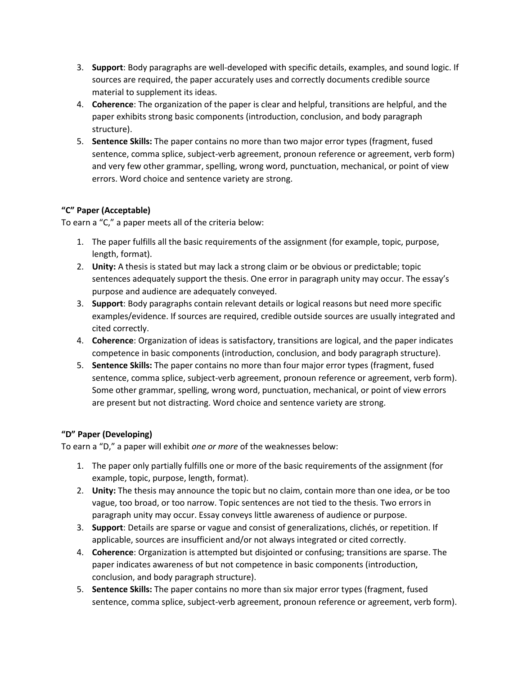- 3. **Support**: Body paragraphs are well-developed with specific details, examples, and sound logic. If sources are required, the paper accurately uses and correctly documents credible source material to supplement its ideas.
- 4. **Coherence**: The organization of the paper is clear and helpful, transitions are helpful, and the paper exhibits strong basic components (introduction, conclusion, and body paragraph structure).
- 5. **Sentence Skills:** The paper contains no more than two major error types (fragment, fused sentence, comma splice, subject-verb agreement, pronoun reference or agreement, verb form) and very few other grammar, spelling, wrong word, punctuation, mechanical, or point of view errors. Word choice and sentence variety are strong.

## **"C" Paper (Acceptable)**

To earn a "C," a paper meets all of the criteria below:

- 1. The paper fulfills all the basic requirements of the assignment (for example, topic, purpose, length, format).
- 2. **Unity:** A thesis is stated but may lack a strong claim or be obvious or predictable; topic sentences adequately support the thesis. One error in paragraph unity may occur. The essay's purpose and audience are adequately conveyed.
- 3. **Support**: Body paragraphs contain relevant details or logical reasons but need more specific examples/evidence. If sources are required, credible outside sources are usually integrated and cited correctly.
- 4. **Coherence**: Organization of ideas is satisfactory, transitions are logical, and the paper indicates competence in basic components (introduction, conclusion, and body paragraph structure).
- 5. **Sentence Skills:** The paper contains no more than four major error types (fragment, fused sentence, comma splice, subject-verb agreement, pronoun reference or agreement, verb form). Some other grammar, spelling, wrong word, punctuation, mechanical, or point of view errors are present but not distracting. Word choice and sentence variety are strong.

# **"D" Paper (Developing)**

To earn a "D," a paper will exhibit *one or more* of the weaknesses below:

- 1. The paper only partially fulfills one or more of the basic requirements of the assignment (for example, topic, purpose, length, format).
- 2. **Unity:** The thesis may announce the topic but no claim, contain more than one idea, or be too vague, too broad, or too narrow. Topic sentences are not tied to the thesis. Two errors in paragraph unity may occur. Essay conveys little awareness of audience or purpose.
- 3. **Support**: Details are sparse or vague and consist of generalizations, clichés, or repetition. If applicable, sources are insufficient and/or not always integrated or cited correctly.
- 4. **Coherence**: Organization is attempted but disjointed or confusing; transitions are sparse. The paper indicates awareness of but not competence in basic components (introduction, conclusion, and body paragraph structure).
- 5. **Sentence Skills:** The paper contains no more than six major error types (fragment, fused sentence, comma splice, subject-verb agreement, pronoun reference or agreement, verb form).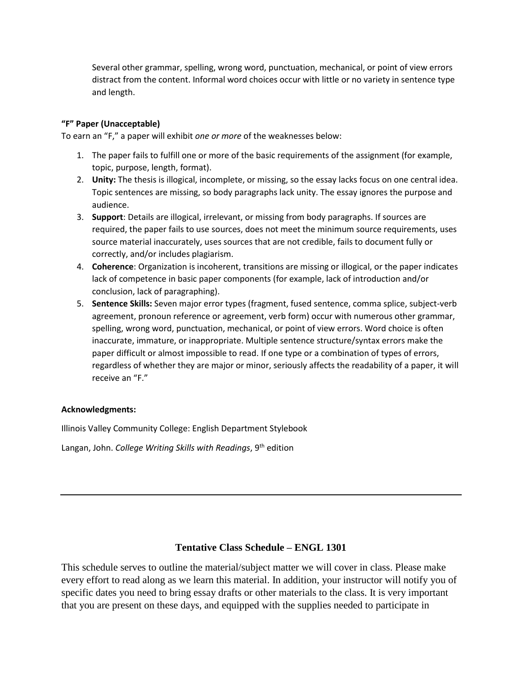Several other grammar, spelling, wrong word, punctuation, mechanical, or point of view errors distract from the content. Informal word choices occur with little or no variety in sentence type and length.

### **"F" Paper (Unacceptable)**

To earn an "F," a paper will exhibit *one or more* of the weaknesses below:

- 1. The paper fails to fulfill one or more of the basic requirements of the assignment (for example, topic, purpose, length, format).
- 2. **Unity:** The thesis is illogical, incomplete, or missing, so the essay lacks focus on one central idea. Topic sentences are missing, so body paragraphs lack unity. The essay ignores the purpose and audience.
- 3. **Support**: Details are illogical, irrelevant, or missing from body paragraphs. If sources are required, the paper fails to use sources, does not meet the minimum source requirements, uses source material inaccurately, uses sources that are not credible, fails to document fully or correctly, and/or includes plagiarism.
- 4. **Coherence**: Organization is incoherent, transitions are missing or illogical, or the paper indicates lack of competence in basic paper components (for example, lack of introduction and/or conclusion, lack of paragraphing).
- 5. **Sentence Skills:** Seven major error types (fragment, fused sentence, comma splice, subject-verb agreement, pronoun reference or agreement, verb form) occur with numerous other grammar, spelling, wrong word, punctuation, mechanical, or point of view errors. Word choice is often inaccurate, immature, or inappropriate. Multiple sentence structure/syntax errors make the paper difficult or almost impossible to read. If one type or a combination of types of errors, regardless of whether they are major or minor, seriously affects the readability of a paper, it will receive an "F."

#### **Acknowledgments:**

Illinois Valley Community College: English Department Stylebook

Langan, John. *College Writing Skills with Readings*, 9th edition

### **Tentative Class Schedule – ENGL 1301**

This schedule serves to outline the material/subject matter we will cover in class. Please make every effort to read along as we learn this material. In addition, your instructor will notify you of specific dates you need to bring essay drafts or other materials to the class. It is very important that you are present on these days, and equipped with the supplies needed to participate in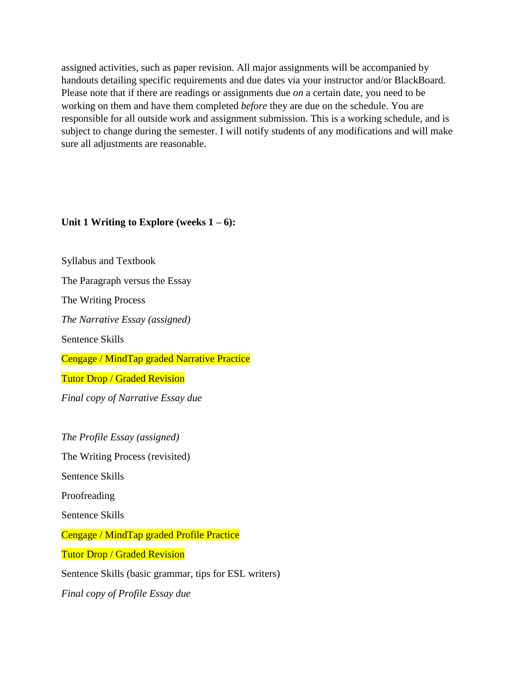assigned activities, such as paper revision. All major assignments will be accompanied by handouts detailing specific requirements and due dates via your instructor and/or BlackBoard. Please note that if there are readings or assignments due *on* a certain date, you need to be working on them and have them completed *before* they are due on the schedule. You are responsible for all outside work and assignment submission. This is a working schedule, and is subject to change during the semester. I will notify students of any modifications and will make sure all adjustments are reasonable.

## Unit 1 Writing to Explore (weeks  $1 - 6$ ):

Syllabus and Textbook

The Paragraph versus the Essay

The Writing Process

*The Narrative Essay (assigned)*

Sentence Skills

Cengage / MindTap graded Narrative Practice

Tutor Drop / Graded Revision

*Final copy of Narrative Essay due*

*The Profile Essay (assigned)* The Writing Process (revisited) Sentence Skills

Proofreading

Sentence Skills

Cengage / MindTap graded Profile Practice

Tutor Drop / Graded Revision

Sentence Skills (basic grammar, tips for ESL writers)

*Final copy of Profile Essay due*